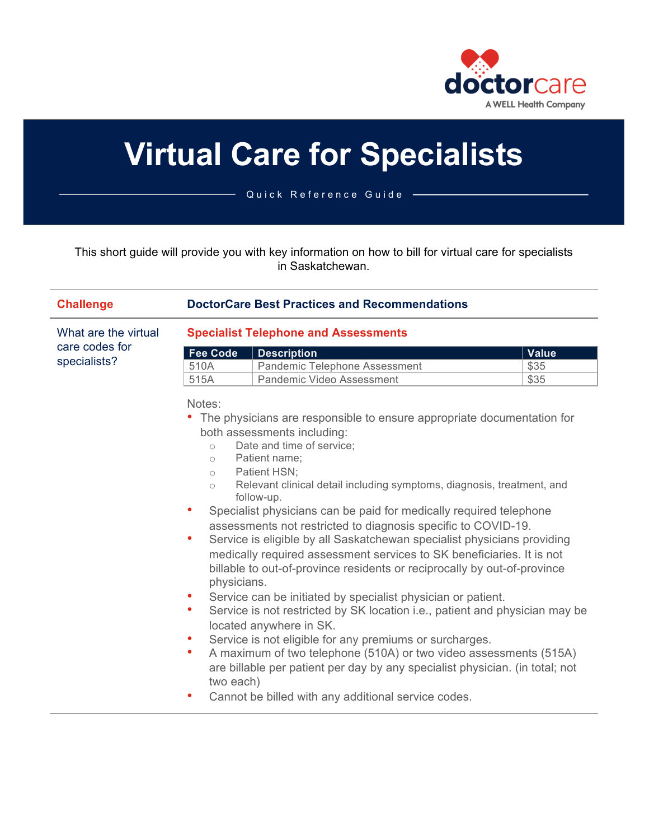

# **Virtual Care for Specialists**

Quick Reference Guide

This short guide will provide you with key information on how to bill for virtual care for specialists in Saskatchewan.

| <b>Challenge</b>                                       | <b>DoctorCare Best Practices and Recommendations</b>                                                                                                                                                                                                                                                                                                                                                                                                                                                                                                                                                                                                                                                                                                                                                                                                                                                                                                                                                                                                                                                                                                                                                                                     |                                                                                  |                              |  |
|--------------------------------------------------------|------------------------------------------------------------------------------------------------------------------------------------------------------------------------------------------------------------------------------------------------------------------------------------------------------------------------------------------------------------------------------------------------------------------------------------------------------------------------------------------------------------------------------------------------------------------------------------------------------------------------------------------------------------------------------------------------------------------------------------------------------------------------------------------------------------------------------------------------------------------------------------------------------------------------------------------------------------------------------------------------------------------------------------------------------------------------------------------------------------------------------------------------------------------------------------------------------------------------------------------|----------------------------------------------------------------------------------|------------------------------|--|
| What are the virtual<br>care codes for<br>specialists? | <b>Specialist Telephone and Assessments</b>                                                                                                                                                                                                                                                                                                                                                                                                                                                                                                                                                                                                                                                                                                                                                                                                                                                                                                                                                                                                                                                                                                                                                                                              |                                                                                  |                              |  |
|                                                        | <b>Fee Code</b><br>510A<br>515A                                                                                                                                                                                                                                                                                                                                                                                                                                                                                                                                                                                                                                                                                                                                                                                                                                                                                                                                                                                                                                                                                                                                                                                                          | <b>Description</b><br>Pandemic Telephone Assessment<br>Pandemic Video Assessment | <b>Value</b><br>\$35<br>\$35 |  |
|                                                        | Notes:<br>• The physicians are responsible to ensure appropriate documentation for<br>both assessments including:<br>Date and time of service;<br>$\circ$<br>Patient name:<br>$\circ$<br>Patient HSN:<br>$\circ$<br>Relevant clinical detail including symptoms, diagnosis, treatment, and<br>$\circ$<br>follow-up.<br>Specialist physicians can be paid for medically required telephone<br>۰<br>assessments not restricted to diagnosis specific to COVID-19.<br>Service is eligible by all Saskatchewan specialist physicians providing<br>$\bullet$<br>medically required assessment services to SK beneficiaries. It is not<br>billable to out-of-province residents or reciprocally by out-of-province<br>physicians.<br>Service can be initiated by specialist physician or patient.<br>$\bullet$<br>Service is not restricted by SK location <i>i.e.</i> , patient and physician may be<br>$\bullet$<br>located anywhere in SK.<br>Service is not eligible for any premiums or surcharges.<br>A maximum of two telephone (510A) or two video assessments (515A)<br>$\bullet$<br>are billable per patient per day by any specialist physician. (in total; not<br>two each)<br>Cannot be billed with any additional service codes. |                                                                                  |                              |  |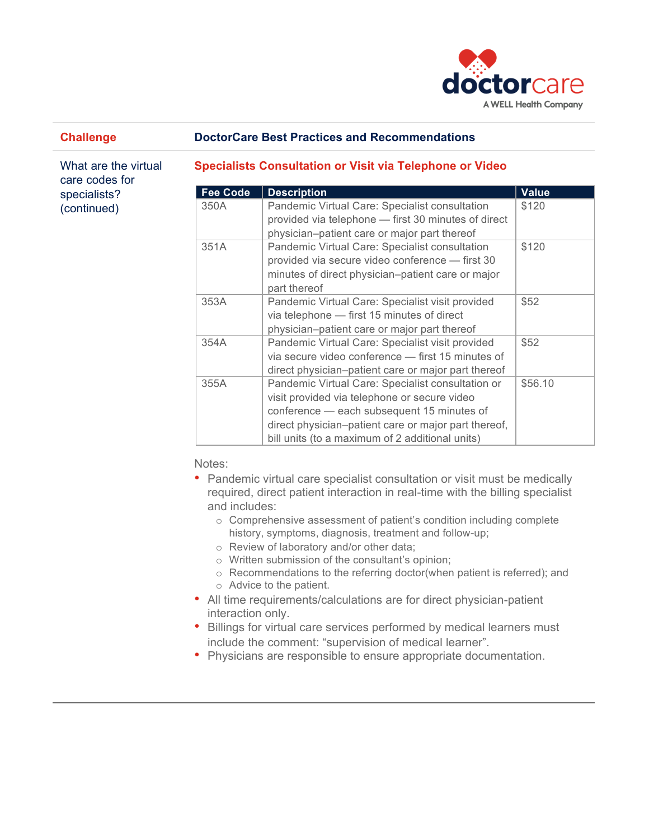

#### **Challenge DoctorCare Best Practices and Recommendations**

What are the virtual care codes for specialists? (continued)

#### **Specialists Consultation or Visit via Telephone or Video**

| <b>Fee Code</b> | <b>Description</b>                                   | <b>Value</b> |
|-----------------|------------------------------------------------------|--------------|
| 350A            | Pandemic Virtual Care: Specialist consultation       | \$120        |
|                 | provided via telephone - first 30 minutes of direct  |              |
|                 | physician-patient care or major part thereof         |              |
| 351A            | Pandemic Virtual Care: Specialist consultation       | \$120        |
|                 | provided via secure video conference - first 30      |              |
|                 | minutes of direct physician–patient care or major    |              |
|                 | part thereof                                         |              |
| 353A            | Pandemic Virtual Care: Specialist visit provided     | \$52         |
|                 | via telephone - first 15 minutes of direct           |              |
|                 | physician-patient care or major part thereof         |              |
| 354A            | Pandemic Virtual Care: Specialist visit provided     | \$52         |
|                 | via secure video conference - first 15 minutes of    |              |
|                 | direct physician-patient care or major part thereof  |              |
| 355A            | Pandemic Virtual Care: Specialist consultation or    | \$56.10      |
|                 | visit provided via telephone or secure video         |              |
|                 | conference - each subsequent 15 minutes of           |              |
|                 | direct physician-patient care or major part thereof, |              |
|                 | bill units (to a maximum of 2 additional units)      |              |

Notes:

- Pandemic virtual care specialist consultation or visit must be medically required, direct patient interaction in real-time with the billing specialist and includes:
	- o Comprehensive assessment of patient's condition including complete history, symptoms, diagnosis, treatment and follow-up;
	- o Review of laboratory and/or other data;
	- o Written submission of the consultant's opinion;
	- o Recommendations to the referring doctor(when patient is referred); and
	- o Advice to the patient.
- All time requirements/calculations are for direct physician-patient interaction only.
- Billings for virtual care services performed by medical learners must include the comment: "supervision of medical learner".
- Physicians are responsible to ensure appropriate documentation.